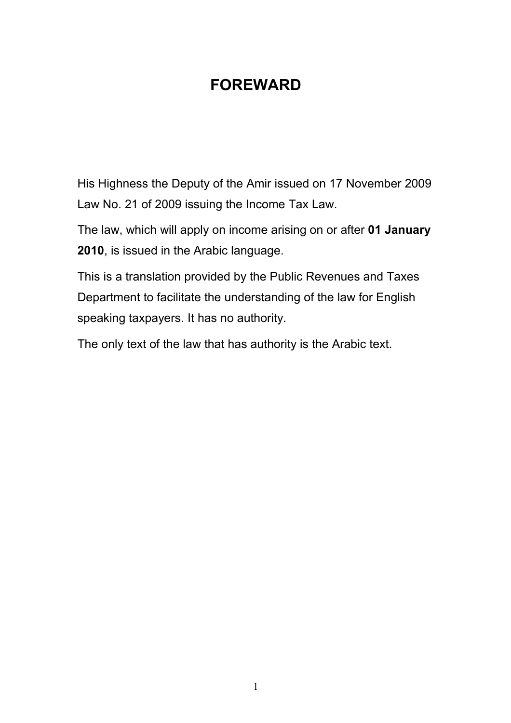# **FOREWARD**

His Highness the Deputy of the Amir issued on 17 November 2009 Law No. 21 of 2009 issuing the Income Tax Law.

The law, which will apply on income arising on or after **01 January 2010**, is issued in the Arabic language.

This is a translation provided by the Public Revenues and Taxes Department to facilitate the understanding of the law for English speaking taxpayers. It has no authority.

The only text of the law that has authority is the Arabic text.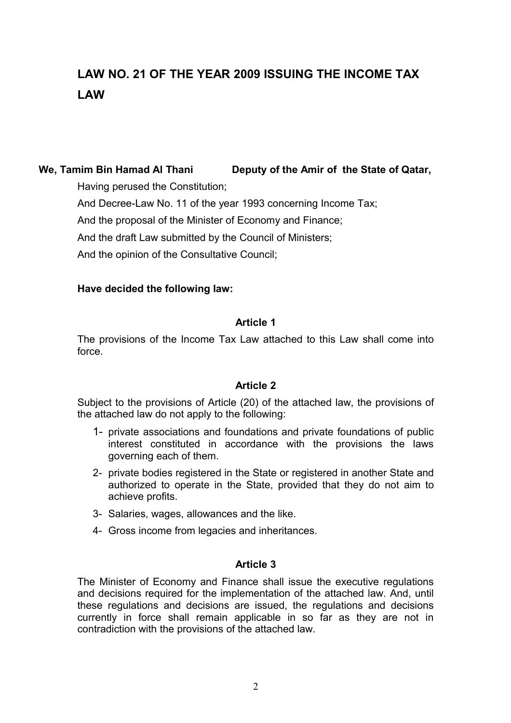# **LAW NO. 21 OF THE YEAR 2009 ISSUING THE INCOME TAX LAW**

# **We, Tamim Bin Hamad Al Thani Deputy of the Amir of the State of Qatar,**

Having perused the Constitution;

And Decree-Law No. 11 of the year 1993 concerning Income Tax;

And the proposal of the Minister of Economy and Finance;

And the draft Law submitted by the Council of Ministers;

And the opinion of the Consultative Council;

# **Have decided the following law:**

# **Article 1**

The provisions of the Income Tax Law attached to this Law shall come into force.

# **Article 2**

Subject to the provisions of Article (20) of the attached law, the provisions of the attached law do not apply to the following:

- 1- private associations and foundations and private foundations of public interest constituted in accordance with the provisions the laws governing each of them.
- 2- private bodies registered in the State or registered in another State and authorized to operate in the State, provided that they do not aim to achieve profits.
- 3- Salaries, wages, allowances and the like.
- 4- Gross income from legacies and inheritances.

# **Article 3**

The Minister of Economy and Finance shall issue the executive regulations and decisions required for the implementation of the attached law. And, until these regulations and decisions are issued, the regulations and decisions currently in force shall remain applicable in so far as they are not in contradiction with the provisions of the attached law.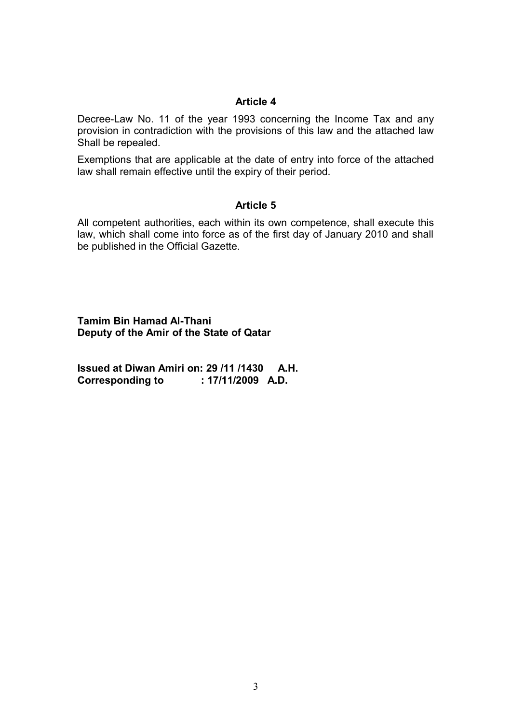Decree-Law No. 11 of the year 1993 concerning the Income Tax and any provision in contradiction with the provisions of this law and the attached law Shall be repealed.

Exemptions that are applicable at the date of entry into force of the attached law shall remain effective until the expiry of their period.

#### **Article 5**

All competent authorities, each within its own competence, shall execute this law, which shall come into force as of the first day of January 2010 and shall be published in the Official Gazette.

**Tamim Bin Hamad Al-Thani Deputy of the Amir of the State of Qatar**

**Issued at Diwan Amiri on: 29 /11 /1430 A.H. Corresponding to : 17/11/2009 A.D.**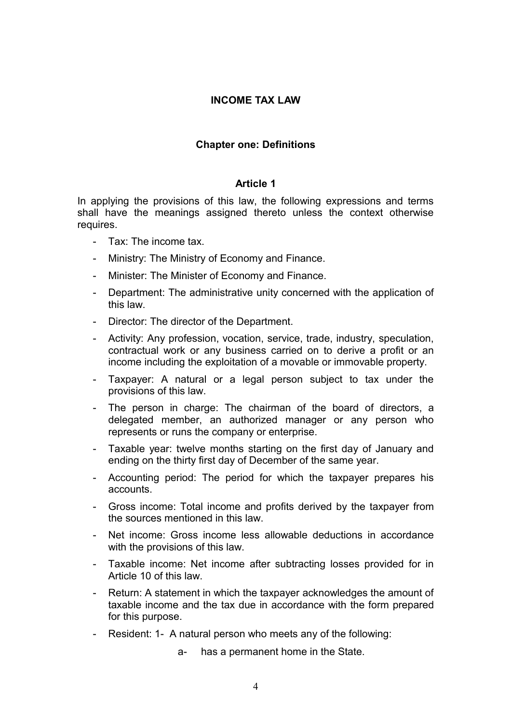# **INCOME TAX LAW**

## **Chapter one: Definitions**

#### **Article 1**

In applying the provisions of this law, the following expressions and terms shall have the meanings assigned thereto unless the context otherwise requires.

- Tax: The income tax.
- Ministry: The Ministry of Economy and Finance.
- Minister: The Minister of Economy and Finance.
- Department: The administrative unity concerned with the application of this law.
- Director: The director of the Department.
- Activity: Any profession, vocation, service, trade, industry, speculation, contractual work or any business carried on to derive a profit or an income including the exploitation of a movable or immovable property.
- Taxpayer: A natural or a legal person subject to tax under the provisions of this law.
- The person in charge: The chairman of the board of directors, a delegated member, an authorized manager or any person who represents or runs the company or enterprise.
- Taxable year: twelve months starting on the first day of January and ending on the thirty first day of December of the same year.
- Accounting period: The period for which the taxpayer prepares his accounts.
- Gross income: Total income and profits derived by the taxpayer from the sources mentioned in this law.
- Net income: Gross income less allowable deductions in accordance with the provisions of this law.
- Taxable income: Net income after subtracting losses provided for in Article 10 of this law.
- Return: A statement in which the taxpayer acknowledges the amount of taxable income and the tax due in accordance with the form prepared for this purpose.
- Resident: 1- A natural person who meets any of the following:

a- has a permanent home in the State.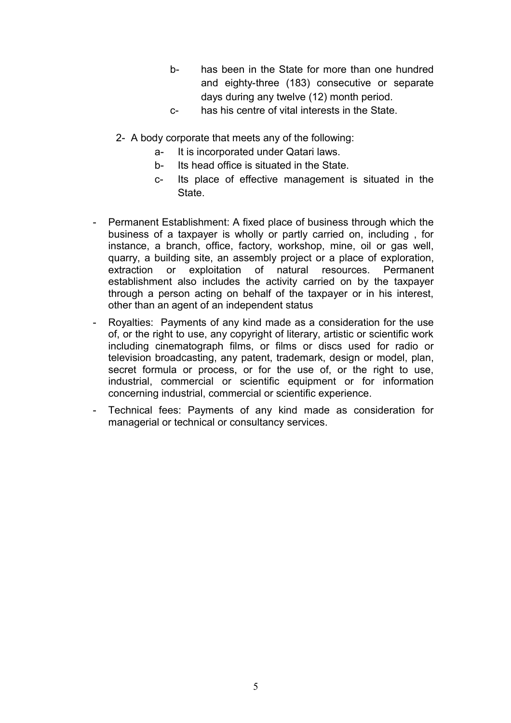- b- has been in the State for more than one hundred and eighty-three (183) consecutive or separate days during any twelve (12) month period.
- c- has his centre of vital interests in the State.
- 2- A body corporate that meets any of the following:
	- a- It is incorporated under Qatari laws.
	- b- Its head office is situated in the State.
	- c- Its place of effective management is situated in the State.
- Permanent Establishment: A fixed place of business through which the business of a taxpayer is wholly or partly carried on, including , for instance, a branch, office, factory, workshop, mine, oil or gas well, quarry, a building site, an assembly project or a place of exploration, extraction or exploitation of natural resources. Permanent establishment also includes the activity carried on by the taxpayer through a person acting on behalf of the taxpayer or in his interest, other than an agent of an independent status
- Royalties: Payments of any kind made as a consideration for the use of, or the right to use, any copyright of literary, artistic or scientific work including cinematograph films, or films or discs used for radio or television broadcasting, any patent, trademark, design or model, plan, secret formula or process, or for the use of, or the right to use, industrial, commercial or scientific equipment or for information concerning industrial, commercial or scientific experience.
- Technical fees: Payments of any kind made as consideration for managerial or technical or consultancy services.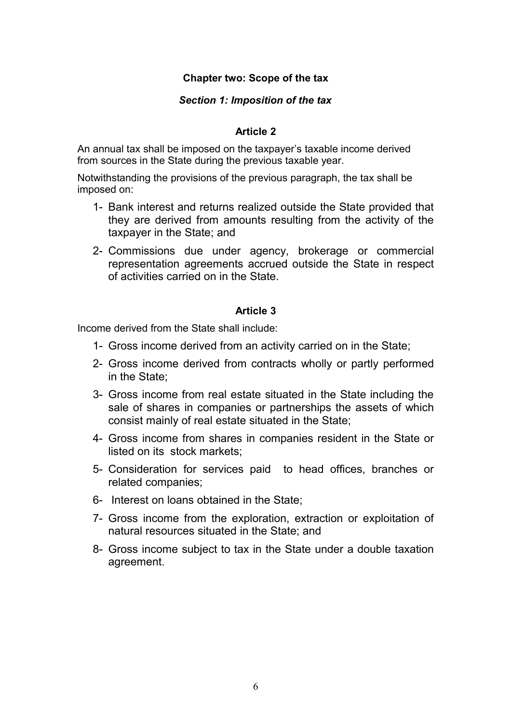# **Chapter two: Scope of the tax**

## *Section 1: Imposition of the tax*

## **Article 2**

An annual tax shall be imposed on the taxpayer's taxable income derived from sources in the State during the previous taxable year.

Notwithstanding the provisions of the previous paragraph, the tax shall be imposed on:

- 1- Bank interest and returns realized outside the State provided that they are derived from amounts resulting from the activity of the taxpayer in the State; and
- 2- Commissions due under agency, brokerage or commercial representation agreements accrued outside the State in respect of activities carried on in the State.

## **Article 3**

Income derived from the State shall include:

- 1- Gross income derived from an activity carried on in the State;
- 2- Gross income derived from contracts wholly or partly performed in the State;
- 3- Gross income from real estate situated in the State including the sale of shares in companies or partnerships the assets of which consist mainly of real estate situated in the State;
- 4- Gross income from shares in companies resident in the State or listed on its stock markets;
- 5- Consideration for services paid to head offices, branches or related companies;
- 6- Interest on loans obtained in the State;
- 7- Gross income from the exploration, extraction or exploitation of natural resources situated in the State; and
- 8- Gross income subject to tax in the State under a double taxation agreement.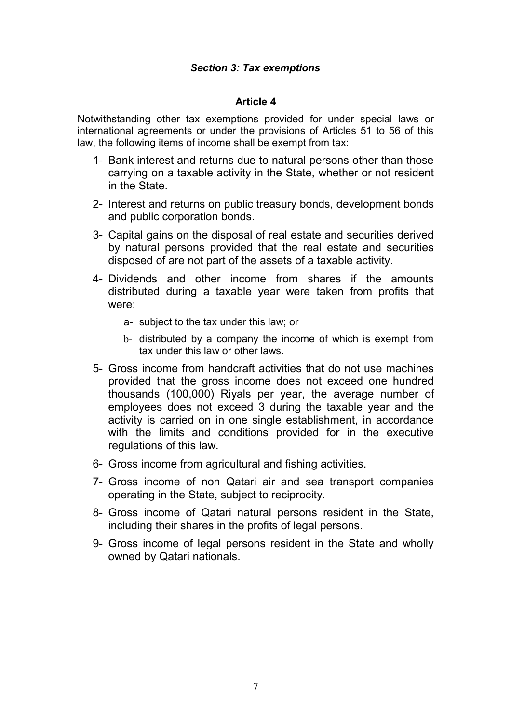# *Section 3: Tax exemptions*

## **Article 4**

Notwithstanding other tax exemptions provided for under special laws or international agreements or under the provisions of Articles 51 to 56 of this law, the following items of income shall be exempt from tax:

- 1- Bank interest and returns due to natural persons other than those carrying on a taxable activity in the State, whether or not resident in the State.
- 2- Interest and returns on public treasury bonds, development bonds and public corporation bonds.
- 3- Capital gains on the disposal of real estate and securities derived by natural persons provided that the real estate and securities disposed of are not part of the assets of a taxable activity.
- 4- Dividends and other income from shares if the amounts distributed during a taxable year were taken from profits that were:
	- a- subject to the tax under this law; or
	- b- distributed by a company the income of which is exempt from tax under this law or other laws.
- 5- Gross income from handcraft activities that do not use machines provided that the gross income does not exceed one hundred thousands (100,000) Riyals per year, the average number of employees does not exceed 3 during the taxable year and the activity is carried on in one single establishment, in accordance with the limits and conditions provided for in the executive regulations of this law.
- 6- Gross income from agricultural and fishing activities.
- 7- Gross income of non Qatari air and sea transport companies operating in the State, subject to reciprocity.
- 8- Gross income of Qatari natural persons resident in the State, including their shares in the profits of legal persons.
- 9- Gross income of legal persons resident in the State and wholly owned by Qatari nationals.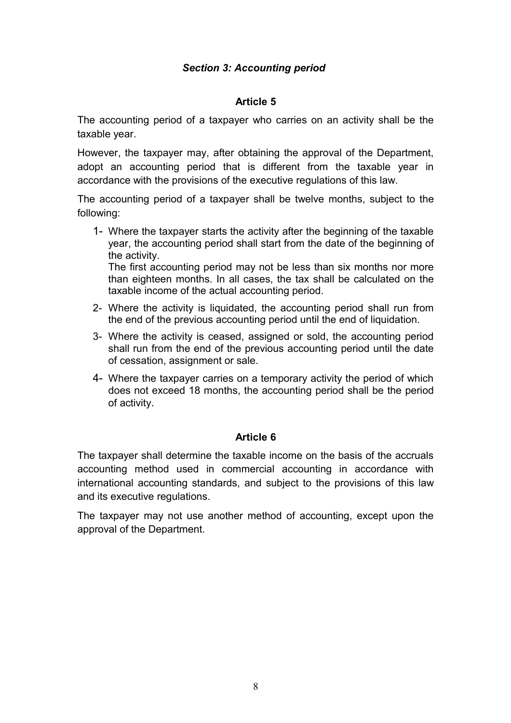# *Section 3: Accounting period*

# **Article 5**

The accounting period of a taxpayer who carries on an activity shall be the taxable year.

However, the taxpayer may, after obtaining the approval of the Department, adopt an accounting period that is different from the taxable year in accordance with the provisions of the executive regulations of this law.

The accounting period of a taxpayer shall be twelve months, subject to the following:

- 1- Where the taxpayer starts the activity after the beginning of the taxable year, the accounting period shall start from the date of the beginning of the activity. The first accounting period may not be less than six months nor more than eighteen months. In all cases, the tax shall be calculated on the taxable income of the actual accounting period.
- 2- Where the activity is liquidated, the accounting period shall run from the end of the previous accounting period until the end of liquidation.
- 3- Where the activity is ceased, assigned or sold, the accounting period shall run from the end of the previous accounting period until the date of cessation, assignment or sale.
- 4- Where the taxpayer carries on a temporary activity the period of which does not exceed 18 months, the accounting period shall be the period of activity.

# **Article 6**

The taxpayer shall determine the taxable income on the basis of the accruals accounting method used in commercial accounting in accordance with international accounting standards, and subject to the provisions of this law and its executive regulations.

The taxpayer may not use another method of accounting, except upon the approval of the Department.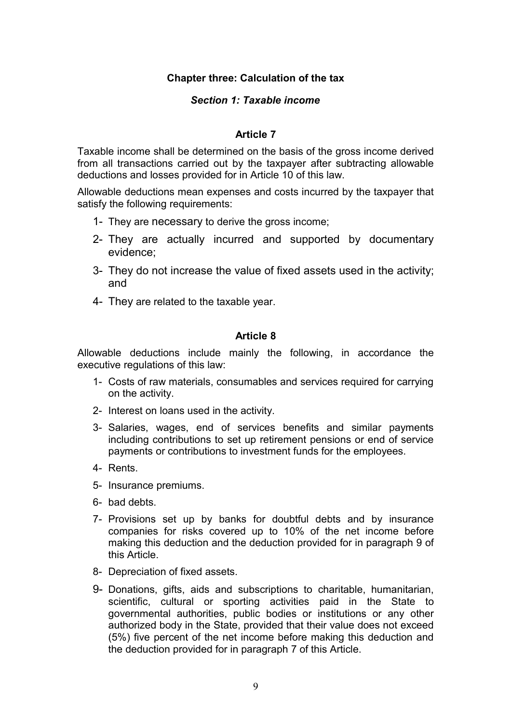# **Chapter three: Calculation of the tax**

## *Section 1: Taxable income*

## **Article 7**

Taxable income shall be determined on the basis of the gross income derived from all transactions carried out by the taxpayer after subtracting allowable deductions and losses provided for in Article 10 of this law.

Allowable deductions mean expenses and costs incurred by the taxpayer that satisfy the following requirements:

- 1- They are necessary to derive the gross income;
- 2- They are actually incurred and supported by documentary evidence;
- 3- They do not increase the value of fixed assets used in the activity; and
- 4- They are related to the taxable year.

## **Article 8**

Allowable deductions include mainly the following, in accordance the executive regulations of this law:

- 1- Costs of raw materials, consumables and services required for carrying on the activity.
- 2- Interest on loans used in the activity.
- 3- Salaries, wages, end of services benefits and similar payments including contributions to set up retirement pensions or end of service payments or contributions to investment funds for the employees.
- 4- Rents.
- 5- Insurance premiums.
- 6- bad debts.
- 7- Provisions set up by banks for doubtful debts and by insurance companies for risks covered up to 10% of the net income before making this deduction and the deduction provided for in paragraph 9 of this Article.
- 8- Depreciation of fixed assets.
- 9- Donations, gifts, aids and subscriptions to charitable, humanitarian, scientific, cultural or sporting activities paid in the State to governmental authorities, public bodies or institutions or any other authorized body in the State, provided that their value does not exceed (5%) five percent of the net income before making this deduction and the deduction provided for in paragraph 7 of this Article.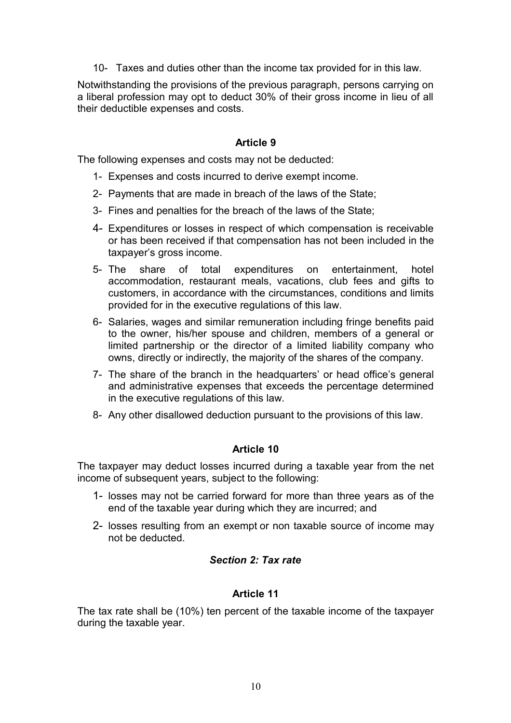10- Taxes and duties other than the income tax provided for in this law.

Notwithstanding the provisions of the previous paragraph, persons carrying on a liberal profession may opt to deduct 30% of their gross income in lieu of all their deductible expenses and costs.

## **Article 9**

The following expenses and costs may not be deducted:

- 1- Expenses and costs incurred to derive exempt income.
- 2- Payments that are made in breach of the laws of the State;
- 3- Fines and penalties for the breach of the laws of the State;
- 4- Expenditures or losses in respect of which compensation is receivable or has been received if that compensation has not been included in the taxpayer's gross income.
- 5- The share of total expenditures on entertainment, hotel accommodation, restaurant meals, vacations, club fees and gifts to customers, in accordance with the circumstances, conditions and limits provided for in the executive regulations of this law.
- 6- Salaries, wages and similar remuneration including fringe benefits paid to the owner, his/her spouse and children, members of a general or limited partnership or the director of a limited liability company who owns, directly or indirectly, the majority of the shares of the company.
- 7- The share of the branch in the headquarters' or head office's general and administrative expenses that exceeds the percentage determined in the executive regulations of this law.
- 8- Any other disallowed deduction pursuant to the provisions of this law.

#### **Article 10**

The taxpayer may deduct losses incurred during a taxable year from the net income of subsequent years, subject to the following:

- 1- losses may not be carried forward for more than three years as of the end of the taxable year during which they are incurred; and
- 2- losses resulting from an exempt or non taxable source of income may not be deducted.

## *Section 2: Tax rate*

#### **Article 11**

The tax rate shall be (10%) ten percent of the taxable income of the taxpayer during the taxable year.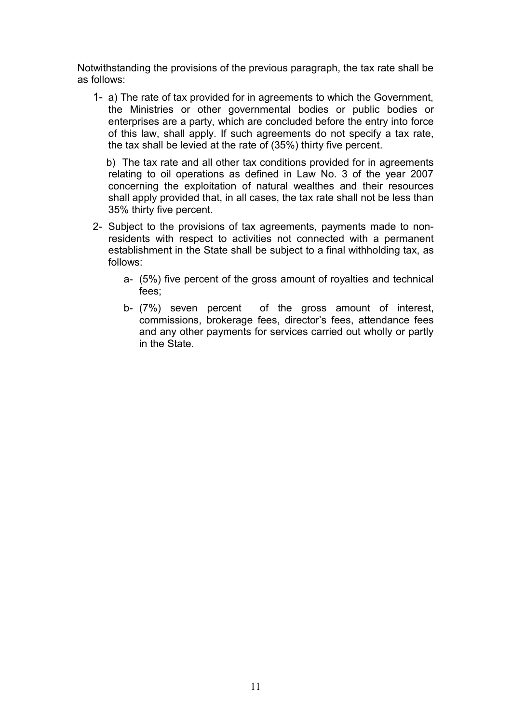Notwithstanding the provisions of the previous paragraph, the tax rate shall be as follows:

1- a) The rate of tax provided for in agreements to which the Government, the Ministries or other governmental bodies or public bodies or enterprises are a party, which are concluded before the entry into force of this law, shall apply. If such agreements do not specify a tax rate, the tax shall be levied at the rate of (35%) thirty five percent.

 b) The tax rate and all other tax conditions provided for in agreements relating to oil operations as defined in Law No. 3 of the year 2007 concerning the exploitation of natural wealthes and their resources shall apply provided that, in all cases, the tax rate shall not be less than 35% thirty five percent.

- 2- Subject to the provisions of tax agreements, payments made to nonresidents with respect to activities not connected with a permanent establishment in the State shall be subject to a final withholding tax, as follows:
	- a- (5%) five percent of the gross amount of royalties and technical fees;
	- b- (7%) seven percent of the gross amount of interest, commissions, brokerage fees, director's fees, attendance fees and any other payments for services carried out wholly or partly in the State.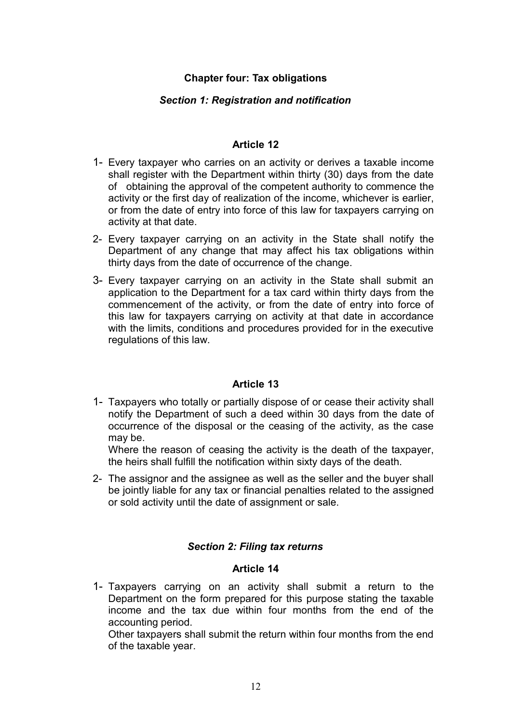# **Chapter four: Tax obligations**

# *Section 1: Registration and notification*

# **Article 12**

- 1- Every taxpayer who carries on an activity or derives a taxable income shall register with the Department within thirty (30) days from the date of obtaining the approval of the competent authority to commence the activity or the first day of realization of the income, whichever is earlier, or from the date of entry into force of this law for taxpayers carrying on activity at that date.
- 2- Every taxpayer carrying on an activity in the State shall notify the Department of any change that may affect his tax obligations within thirty days from the date of occurrence of the change.
- 3- Every taxpayer carrying on an activity in the State shall submit an application to the Department for a tax card within thirty days from the commencement of the activity, or from the date of entry into force of this law for taxpayers carrying on activity at that date in accordance with the limits, conditions and procedures provided for in the executive regulations of this law.

# **Article 13**

1- Taxpayers who totally or partially dispose of or cease their activity shall notify the Department of such a deed within 30 days from the date of occurrence of the disposal or the ceasing of the activity, as the case may be.

Where the reason of ceasing the activity is the death of the taxpayer, the heirs shall fulfill the notification within sixty days of the death.

2- The assignor and the assignee as well as the seller and the buyer shall be jointly liable for any tax or financial penalties related to the assigned or sold activity until the date of assignment or sale.

# *Section 2: Filing tax returns*

# **Article 14**

1- Taxpayers carrying on an activity shall submit a return to the Department on the form prepared for this purpose stating the taxable income and the tax due within four months from the end of the accounting period.

Other taxpayers shall submit the return within four months from the end of the taxable year.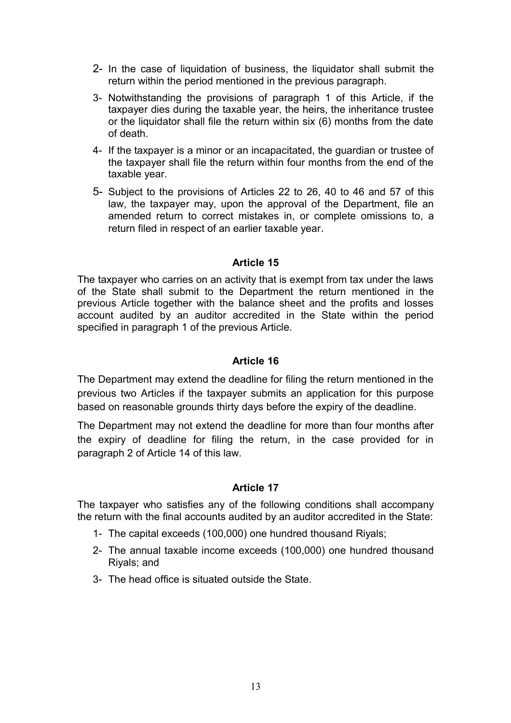- 2- In the case of liquidation of business, the liquidator shall submit the return within the period mentioned in the previous paragraph.
- 3- Notwithstanding the provisions of paragraph 1 of this Article, if the taxpayer dies during the taxable year, the heirs, the inheritance trustee or the liquidator shall file the return within six (6) months from the date of death.
- 4- If the taxpayer is a minor or an incapacitated, the guardian or trustee of the taxpayer shall file the return within four months from the end of the taxable year.
- 5- Subject to the provisions of Articles 22 to 26, 40 to 46 and 57 of this law, the taxpayer may, upon the approval of the Department, file an amended return to correct mistakes in, or complete omissions to, a return filed in respect of an earlier taxable year.

The taxpayer who carries on an activity that is exempt from tax under the laws of the State shall submit to the Department the return mentioned in the previous Article together with the balance sheet and the profits and losses account audited by an auditor accredited in the State within the period specified in paragraph 1 of the previous Article.

# **Article 16**

The Department may extend the deadline for filing the return mentioned in the previous two Articles if the taxpayer submits an application for this purpose based on reasonable grounds thirty days before the expiry of the deadline.

The Department may not extend the deadline for more than four months after the expiry of deadline for filing the return, in the case provided for in paragraph 2 of Article 14 of this law.

# **Article 17**

The taxpayer who satisfies any of the following conditions shall accompany the return with the final accounts audited by an auditor accredited in the State:

- 1- The capital exceeds (100,000) one hundred thousand Riyals;
- 2- The annual taxable income exceeds (100,000) one hundred thousand Riyals; and
- 3- The head office is situated outside the State.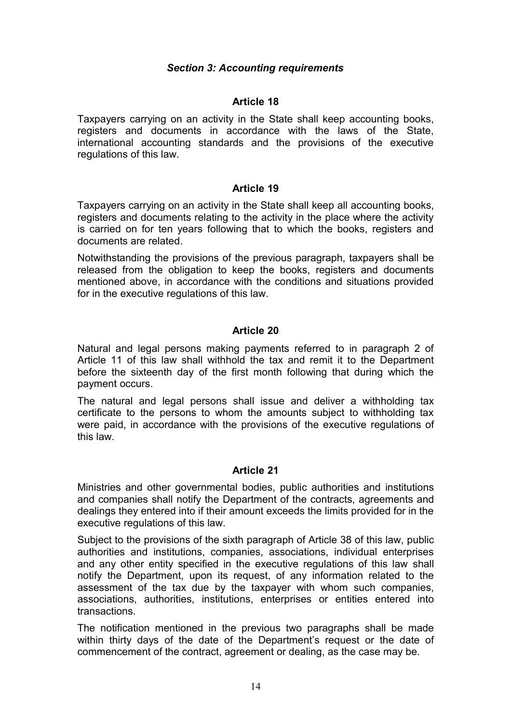# *Section 3: Accounting requirements*

## **Article 18**

Taxpayers carrying on an activity in the State shall keep accounting books, registers and documents in accordance with the laws of the State, international accounting standards and the provisions of the executive regulations of this law.

#### **Article 19**

Taxpayers carrying on an activity in the State shall keep all accounting books, registers and documents relating to the activity in the place where the activity is carried on for ten years following that to which the books, registers and documents are related.

Notwithstanding the provisions of the previous paragraph, taxpayers shall be released from the obligation to keep the books, registers and documents mentioned above, in accordance with the conditions and situations provided for in the executive regulations of this law.

# **Article 20**

Natural and legal persons making payments referred to in paragraph 2 of Article 11 of this law shall withhold the tax and remit it to the Department before the sixteenth day of the first month following that during which the payment occurs.

The natural and legal persons shall issue and deliver a withholding tax certificate to the persons to whom the amounts subject to withholding tax were paid, in accordance with the provisions of the executive regulations of this law.

#### **Article 21**

Ministries and other governmental bodies, public authorities and institutions and companies shall notify the Department of the contracts, agreements and dealings they entered into if their amount exceeds the limits provided for in the executive regulations of this law.

Subject to the provisions of the sixth paragraph of Article 38 of this law, public authorities and institutions, companies, associations, individual enterprises and any other entity specified in the executive regulations of this law shall notify the Department, upon its request, of any information related to the assessment of the tax due by the taxpayer with whom such companies, associations, authorities, institutions, enterprises or entities entered into transactions.

The notification mentioned in the previous two paragraphs shall be made within thirty days of the date of the Department's request or the date of commencement of the contract, agreement or dealing, as the case may be.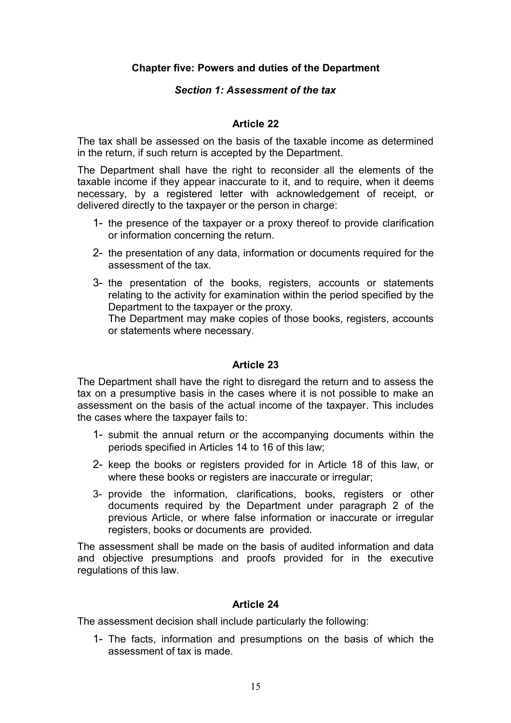# **Chapter five: Powers and duties of the Department**

## *Section 1: Assessment of the tax*

## **Article 22**

The tax shall be assessed on the basis of the taxable income as determined in the return, if such return is accepted by the Department.

The Department shall have the right to reconsider all the elements of the taxable income if they appear inaccurate to it, and to require, when it deems necessary, by a registered letter with acknowledgement of receipt, or delivered directly to the taxpayer or the person in charge:

- 1- the presence of the taxpayer or a proxy thereof to provide clarification or information concerning the return.
- 2- the presentation of any data, information or documents required for the assessment of the tax.
- 3- the presentation of the books, registers, accounts or statements relating to the activity for examination within the period specified by the Department to the taxpayer or the proxy. The Department may make copies of those books, registers, accounts or statements where necessary.

## **Article 23**

The Department shall have the right to disregard the return and to assess the tax on a presumptive basis in the cases where it is not possible to make an assessment on the basis of the actual income of the taxpayer. This includes the cases where the taxpayer fails to:

- 1- submit the annual return or the accompanying documents within the periods specified in Articles 14 to 16 of this law;
- 2- keep the books or registers provided for in Article 18 of this law, or where these books or registers are inaccurate or irregular;
- 3- provide the information, clarifications, books, registers or other documents required by the Department under paragraph 2 of the previous Article, or where false information or inaccurate or irregular registers, books or documents are provided.

The assessment shall be made on the basis of audited information and data and objective presumptions and proofs provided for in the executive regulations of this law.

#### **Article 24**

The assessment decision shall include particularly the following:

1- The facts, information and presumptions on the basis of which the assessment of tax is made.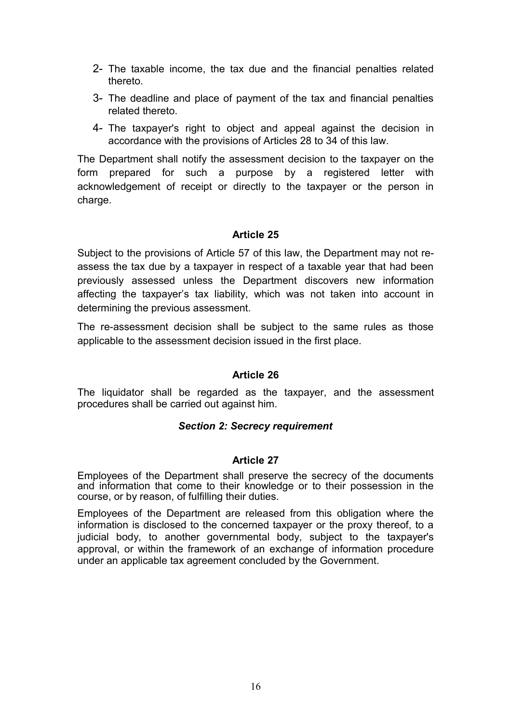- 2- The taxable income, the tax due and the financial penalties related thereto.
- 3- The deadline and place of payment of the tax and financial penalties related thereto.
- 4- The taxpayer's right to object and appeal against the decision in accordance with the provisions of Articles 28 to 34 of this law.

The Department shall notify the assessment decision to the taxpayer on the form prepared for such a purpose by a registered letter with acknowledgement of receipt or directly to the taxpayer or the person in charge.

# **Article 25**

Subject to the provisions of Article 57 of this law, the Department may not reassess the tax due by a taxpayer in respect of a taxable year that had been previously assessed unless the Department discovers new information affecting the taxpayer's tax liability, which was not taken into account in determining the previous assessment.

The re-assessment decision shall be subject to the same rules as those applicable to the assessment decision issued in the first place.

# **Article 26**

The liquidator shall be regarded as the taxpayer, and the assessment procedures shall be carried out against him.

# *Section 2: Secrecy requirement*

# **Article 27**

Employees of the Department shall preserve the secrecy of the documents and information that come to their knowledge or to their possession in the course, or by reason, of fulfilling their duties.

Employees of the Department are released from this obligation where the information is disclosed to the concerned taxpayer or the proxy thereof, to a judicial body, to another governmental body, subject to the taxpayer's approval, or within the framework of an exchange of information procedure under an applicable tax agreement concluded by the Government.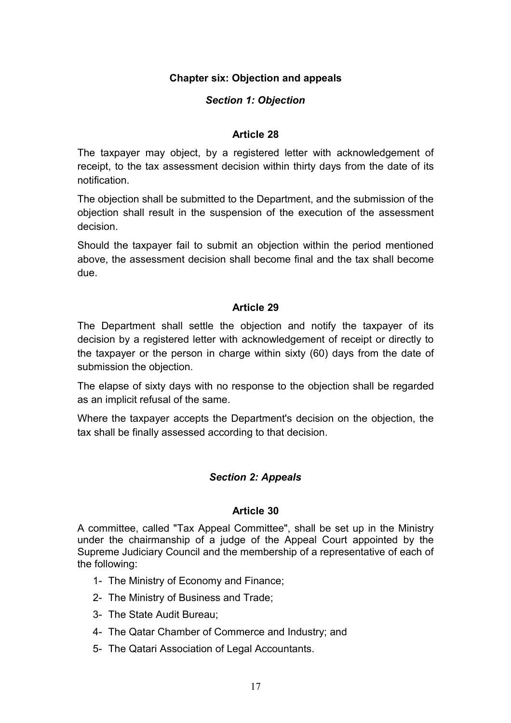# **Chapter six: Objection and appeals**

# *Section 1: Objection*

## **Article 28**

The taxpayer may object, by a registered letter with acknowledgement of receipt, to the tax assessment decision within thirty days from the date of its notification.

The objection shall be submitted to the Department, and the submission of the objection shall result in the suspension of the execution of the assessment decision.

Should the taxpayer fail to submit an objection within the period mentioned above, the assessment decision shall become final and the tax shall become due.

# **Article 29**

The Department shall settle the objection and notify the taxpayer of its decision by a registered letter with acknowledgement of receipt or directly to the taxpayer or the person in charge within sixty (60) days from the date of submission the objection.

The elapse of sixty days with no response to the objection shall be regarded as an implicit refusal of the same.

Where the taxpayer accepts the Department's decision on the objection, the tax shall be finally assessed according to that decision.

# *Section 2: Appeals*

#### **Article 30**

A committee, called "Tax Appeal Committee", shall be set up in the Ministry under the chairmanship of a judge of the Appeal Court appointed by the Supreme Judiciary Council and the membership of a representative of each of the following:

- 1- The Ministry of Economy and Finance;
- 2- The Ministry of Business and Trade;
- 3- The State Audit Bureau;
- 4- The Qatar Chamber of Commerce and Industry; and
- 5- The Qatari Association of Legal Accountants.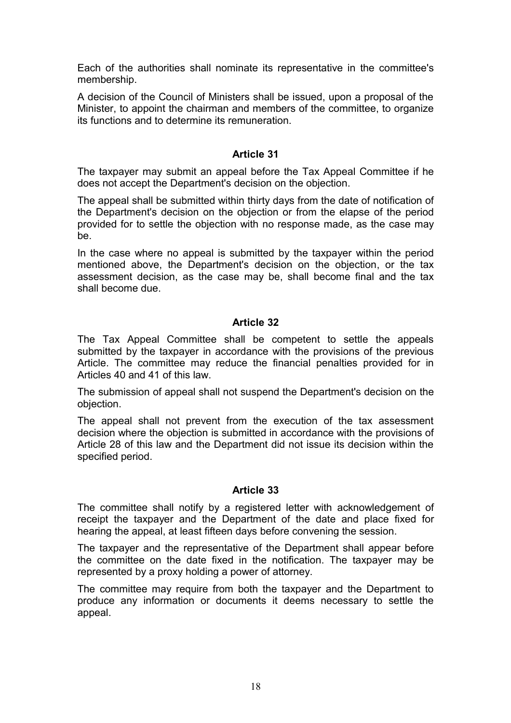Each of the authorities shall nominate its representative in the committee's membership.

A decision of the Council of Ministers shall be issued, upon a proposal of the Minister, to appoint the chairman and members of the committee, to organize its functions and to determine its remuneration.

# **Article 31**

The taxpayer may submit an appeal before the Tax Appeal Committee if he does not accept the Department's decision on the objection.

The appeal shall be submitted within thirty days from the date of notification of the Department's decision on the objection or from the elapse of the period provided for to settle the objection with no response made, as the case may be.

In the case where no appeal is submitted by the taxpayer within the period mentioned above, the Department's decision on the objection, or the tax assessment decision, as the case may be, shall become final and the tax shall become due.

# **Article 32**

The Tax Appeal Committee shall be competent to settle the appeals submitted by the taxpayer in accordance with the provisions of the previous Article. The committee may reduce the financial penalties provided for in Articles 40 and 41 of this law.

The submission of appeal shall not suspend the Department's decision on the objection.

The appeal shall not prevent from the execution of the tax assessment decision where the objection is submitted in accordance with the provisions of Article 28 of this law and the Department did not issue its decision within the specified period.

# **Article 33**

The committee shall notify by a registered letter with acknowledgement of receipt the taxpayer and the Department of the date and place fixed for hearing the appeal, at least fifteen days before convening the session.

The taxpayer and the representative of the Department shall appear before the committee on the date fixed in the notification. The taxpayer may be represented by a proxy holding a power of attorney.

The committee may require from both the taxpayer and the Department to produce any information or documents it deems necessary to settle the appeal.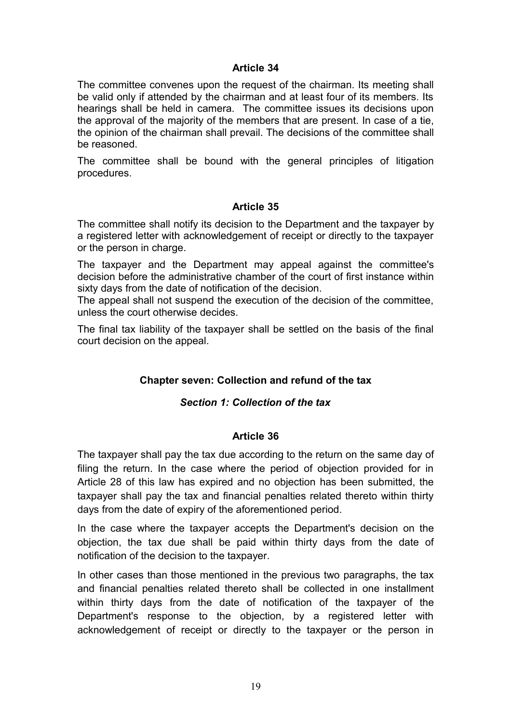The committee convenes upon the request of the chairman. Its meeting shall be valid only if attended by the chairman and at least four of its members. Its hearings shall be held in camera. The committee issues its decisions upon the approval of the majority of the members that are present. In case of a tie, the opinion of the chairman shall prevail. The decisions of the committee shall be reasoned.

The committee shall be bound with the general principles of litigation procedures.

## **Article 35**

The committee shall notify its decision to the Department and the taxpayer by a registered letter with acknowledgement of receipt or directly to the taxpayer or the person in charge.

The taxpayer and the Department may appeal against the committee's decision before the administrative chamber of the court of first instance within sixty days from the date of notification of the decision.

The appeal shall not suspend the execution of the decision of the committee, unless the court otherwise decides.

The final tax liability of the taxpayer shall be settled on the basis of the final court decision on the appeal.

# **Chapter seven: Collection and refund of the tax**

# *Section 1: Collection of the tax*

#### **Article 36**

The taxpayer shall pay the tax due according to the return on the same day of filing the return. In the case where the period of objection provided for in Article 28 of this law has expired and no objection has been submitted, the taxpayer shall pay the tax and financial penalties related thereto within thirty days from the date of expiry of the aforementioned period.

In the case where the taxpayer accepts the Department's decision on the objection, the tax due shall be paid within thirty days from the date of notification of the decision to the taxpayer.

In other cases than those mentioned in the previous two paragraphs, the tax and financial penalties related thereto shall be collected in one installment within thirty days from the date of notification of the taxpayer of the Department's response to the objection, by a registered letter with acknowledgement of receipt or directly to the taxpayer or the person in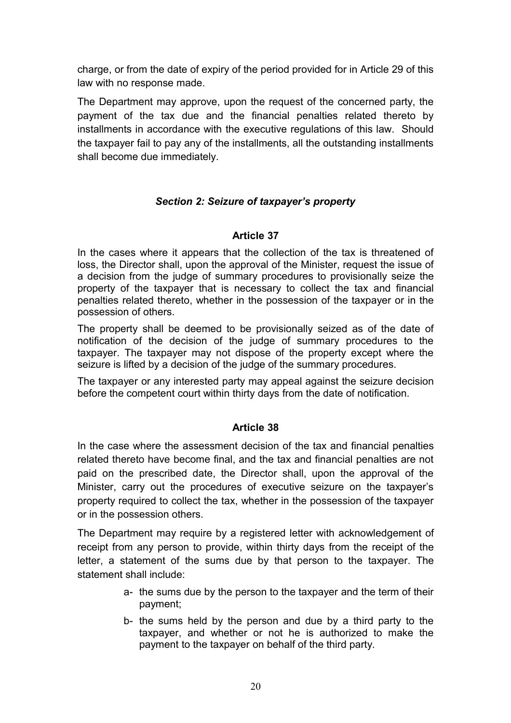charge, or from the date of expiry of the period provided for in Article 29 of this law with no response made.

The Department may approve, upon the request of the concerned party, the payment of the tax due and the financial penalties related thereto by installments in accordance with the executive regulations of this law. Should the taxpayer fail to pay any of the installments, all the outstanding installments shall become due immediately.

# *Section 2: Seizure of taxpayer's property*

# **Article 37**

In the cases where it appears that the collection of the tax is threatened of loss, the Director shall, upon the approval of the Minister, request the issue of a decision from the judge of summary procedures to provisionally seize the property of the taxpayer that is necessary to collect the tax and financial penalties related thereto, whether in the possession of the taxpayer or in the possession of others.

The property shall be deemed to be provisionally seized as of the date of notification of the decision of the judge of summary procedures to the taxpayer. The taxpayer may not dispose of the property except where the seizure is lifted by a decision of the judge of the summary procedures.

The taxpayer or any interested party may appeal against the seizure decision before the competent court within thirty days from the date of notification.

# **Article 38**

In the case where the assessment decision of the tax and financial penalties related thereto have become final, and the tax and financial penalties are not paid on the prescribed date, the Director shall, upon the approval of the Minister, carry out the procedures of executive seizure on the taxpayer's property required to collect the tax, whether in the possession of the taxpayer or in the possession others.

The Department may require by a registered letter with acknowledgement of receipt from any person to provide, within thirty days from the receipt of the letter, a statement of the sums due by that person to the taxpayer. The statement shall include:

- a- the sums due by the person to the taxpayer and the term of their payment;
- b- the sums held by the person and due by a third party to the taxpayer, and whether or not he is authorized to make the payment to the taxpayer on behalf of the third party.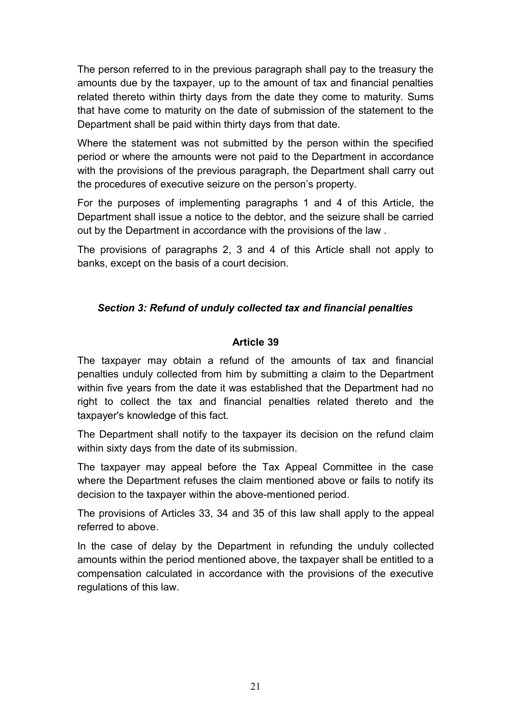The person referred to in the previous paragraph shall pay to the treasury the amounts due by the taxpayer, up to the amount of tax and financial penalties related thereto within thirty days from the date they come to maturity. Sums that have come to maturity on the date of submission of the statement to the Department shall be paid within thirty days from that date.

Where the statement was not submitted by the person within the specified period or where the amounts were not paid to the Department in accordance with the provisions of the previous paragraph, the Department shall carry out the procedures of executive seizure on the person's property.

For the purposes of implementing paragraphs 1 and 4 of this Article, the Department shall issue a notice to the debtor, and the seizure shall be carried out by the Department in accordance with the provisions of the law .

The provisions of paragraphs 2, 3 and 4 of this Article shall not apply to banks, except on the basis of a court decision.

# *Section 3: Refund of unduly collected tax and financial penalties*

# **Article 39**

The taxpayer may obtain a refund of the amounts of tax and financial penalties unduly collected from him by submitting a claim to the Department within five years from the date it was established that the Department had no right to collect the tax and financial penalties related thereto and the taxpayer's knowledge of this fact.

The Department shall notify to the taxpayer its decision on the refund claim within sixty days from the date of its submission.

The taxpayer may appeal before the Tax Appeal Committee in the case where the Department refuses the claim mentioned above or fails to notify its decision to the taxpayer within the above-mentioned period.

The provisions of Articles 33, 34 and 35 of this law shall apply to the appeal referred to above.

In the case of delay by the Department in refunding the unduly collected amounts within the period mentioned above, the taxpayer shall be entitled to a compensation calculated in accordance with the provisions of the executive regulations of this law.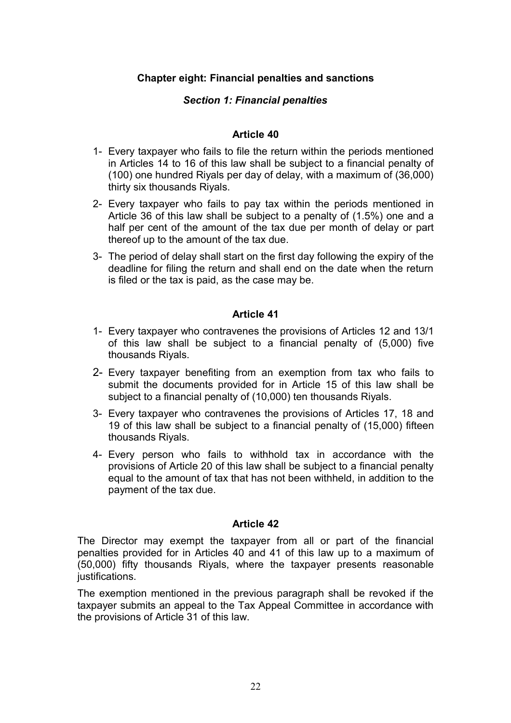# **Chapter eight: Financial penalties and sanctions**

# *Section 1: Financial penalties*

## **Article 40**

- 1- Every taxpayer who fails to file the return within the periods mentioned in Articles 14 to 16 of this law shall be subject to a financial penalty of (100) one hundred Riyals per day of delay, with a maximum of (36,000) thirty six thousands Riyals.
- 2- Every taxpayer who fails to pay tax within the periods mentioned in Article 36 of this law shall be subject to a penalty of (1.5%) one and a half per cent of the amount of the tax due per month of delay or part thereof up to the amount of the tax due.
- 3- The period of delay shall start on the first day following the expiry of the deadline for filing the return and shall end on the date when the return is filed or the tax is paid, as the case may be.

## **Article 41**

- 1- Every taxpayer who contravenes the provisions of Articles 12 and 13/1 of this law shall be subject to a financial penalty of (5,000) five thousands Riyals.
- 2- Every taxpayer benefiting from an exemption from tax who fails to submit the documents provided for in Article 15 of this law shall be subject to a financial penalty of (10,000) ten thousands Riyals.
- 3- Every taxpayer who contravenes the provisions of Articles 17, 18 and 19 of this law shall be subject to a financial penalty of (15,000) fifteen thousands Riyals.
- 4- Every person who fails to withhold tax in accordance with the provisions of Article 20 of this law shall be subject to a financial penalty equal to the amount of tax that has not been withheld, in addition to the payment of the tax due.

#### **Article 42**

The Director may exempt the taxpayer from all or part of the financial penalties provided for in Articles 40 and 41 of this law up to a maximum of (50,000) fifty thousands Riyals, where the taxpayer presents reasonable justifications.

The exemption mentioned in the previous paragraph shall be revoked if the taxpayer submits an appeal to the Tax Appeal Committee in accordance with the provisions of Article 31 of this law.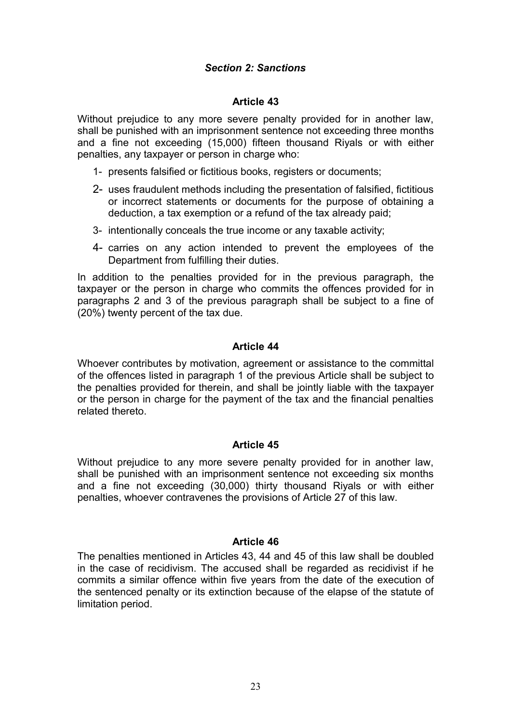# *Section 2: Sanctions*

## **Article 43**

Without prejudice to any more severe penalty provided for in another law, shall be punished with an imprisonment sentence not exceeding three months and a fine not exceeding (15,000) fifteen thousand Riyals or with either penalties, any taxpayer or person in charge who:

- 1- presents falsified or fictitious books, registers or documents;
- 2- uses fraudulent methods including the presentation of falsified, fictitious or incorrect statements or documents for the purpose of obtaining a deduction, a tax exemption or a refund of the tax already paid;
- 3- intentionally conceals the true income or any taxable activity;
- 4- carries on any action intended to prevent the employees of the Department from fulfilling their duties.

In addition to the penalties provided for in the previous paragraph, the taxpayer or the person in charge who commits the offences provided for in paragraphs 2 and 3 of the previous paragraph shall be subject to a fine of (20%) twenty percent of the tax due.

## **Article 44**

Whoever contributes by motivation, agreement or assistance to the committal of the offences listed in paragraph 1 of the previous Article shall be subject to the penalties provided for therein, and shall be jointly liable with the taxpayer or the person in charge for the payment of the tax and the financial penalties related thereto.

# **Article 45**

Without prejudice to any more severe penalty provided for in another law, shall be punished with an imprisonment sentence not exceeding six months and a fine not exceeding (30,000) thirty thousand Riyals or with either penalties, whoever contravenes the provisions of Article 27 of this law.

#### **Article 46**

The penalties mentioned in Articles 43, 44 and 45 of this law shall be doubled in the case of recidivism. The accused shall be regarded as recidivist if he commits a similar offence within five years from the date of the execution of the sentenced penalty or its extinction because of the elapse of the statute of limitation period.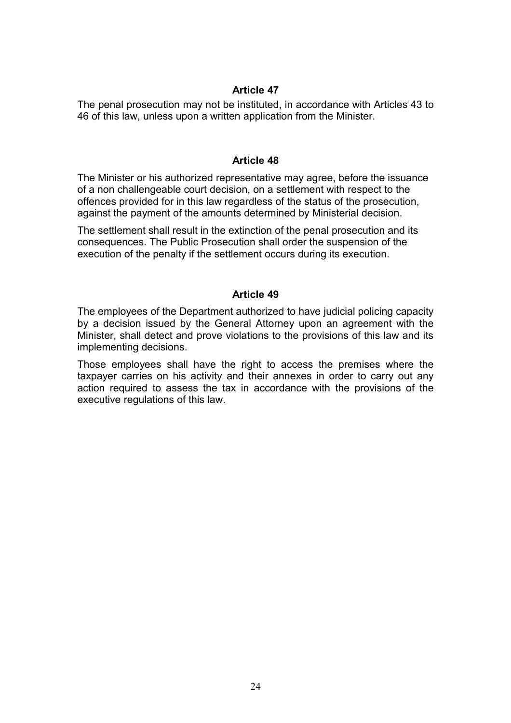The penal prosecution may not be instituted, in accordance with Articles 43 to 46 of this law, unless upon a written application from the Minister.

#### **Article 48**

The Minister or his authorized representative may agree, before the issuance of a non challengeable court decision, on a settlement with respect to the offences provided for in this law regardless of the status of the prosecution, against the payment of the amounts determined by Ministerial decision.

The settlement shall result in the extinction of the penal prosecution and its consequences. The Public Prosecution shall order the suspension of the execution of the penalty if the settlement occurs during its execution.

## **Article 49**

The employees of the Department authorized to have judicial policing capacity by a decision issued by the General Attorney upon an agreement with the Minister, shall detect and prove violations to the provisions of this law and its implementing decisions.

Those employees shall have the right to access the premises where the taxpayer carries on his activity and their annexes in order to carry out any action required to assess the tax in accordance with the provisions of the executive regulations of this law.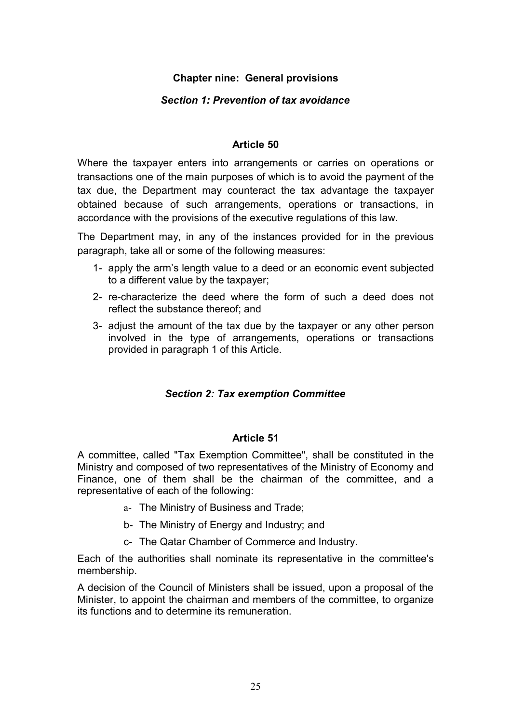# **Chapter nine: General provisions**

# *Section 1: Prevention of tax avoidance*

# **Article 50**

Where the taxpayer enters into arrangements or carries on operations or transactions one of the main purposes of which is to avoid the payment of the tax due, the Department may counteract the tax advantage the taxpayer obtained because of such arrangements, operations or transactions, in accordance with the provisions of the executive regulations of this law.

The Department may, in any of the instances provided for in the previous paragraph, take all or some of the following measures:

- 1- apply the arm's length value to a deed or an economic event subjected to a different value by the taxpayer;
- 2- re-characterize the deed where the form of such a deed does not reflect the substance thereof; and
- 3- adjust the amount of the tax due by the taxpayer or any other person involved in the type of arrangements, operations or transactions provided in paragraph 1 of this Article.

# *Section 2: Tax exemption Committee*

#### **Article 51**

A committee, called "Tax Exemption Committee", shall be constituted in the Ministry and composed of two representatives of the Ministry of Economy and Finance, one of them shall be the chairman of the committee, and a representative of each of the following:

- a- The Ministry of Business and Trade;
- b- The Ministry of Energy and Industry; and
- c- The Qatar Chamber of Commerce and Industry.

Each of the authorities shall nominate its representative in the committee's membership.

A decision of the Council of Ministers shall be issued, upon a proposal of the Minister, to appoint the chairman and members of the committee, to organize its functions and to determine its remuneration.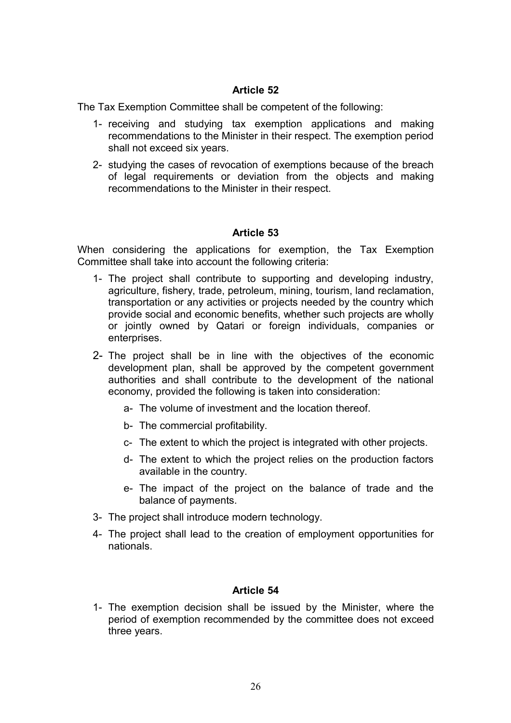The Tax Exemption Committee shall be competent of the following:

- 1- receiving and studying tax exemption applications and making recommendations to the Minister in their respect. The exemption period shall not exceed six years.
- 2- studying the cases of revocation of exemptions because of the breach of legal requirements or deviation from the objects and making recommendations to the Minister in their respect.

# **Article 53**

When considering the applications for exemption, the Tax Exemption Committee shall take into account the following criteria:

- 1- The project shall contribute to supporting and developing industry, agriculture, fishery, trade, petroleum, mining, tourism, land reclamation, transportation or any activities or projects needed by the country which provide social and economic benefits, whether such projects are wholly or jointly owned by Qatari or foreign individuals, companies or enterprises.
- 2- The project shall be in line with the objectives of the economic development plan, shall be approved by the competent government authorities and shall contribute to the development of the national economy, provided the following is taken into consideration:
	- a- The volume of investment and the location thereof.
	- b- The commercial profitability.
	- c- The extent to which the project is integrated with other projects.
	- d- The extent to which the project relies on the production factors available in the country.
	- e- The impact of the project on the balance of trade and the balance of payments.
- 3- The project shall introduce modern technology.
- 4- The project shall lead to the creation of employment opportunities for nationals.

# **Article 54**

1- The exemption decision shall be issued by the Minister, where the period of exemption recommended by the committee does not exceed three years.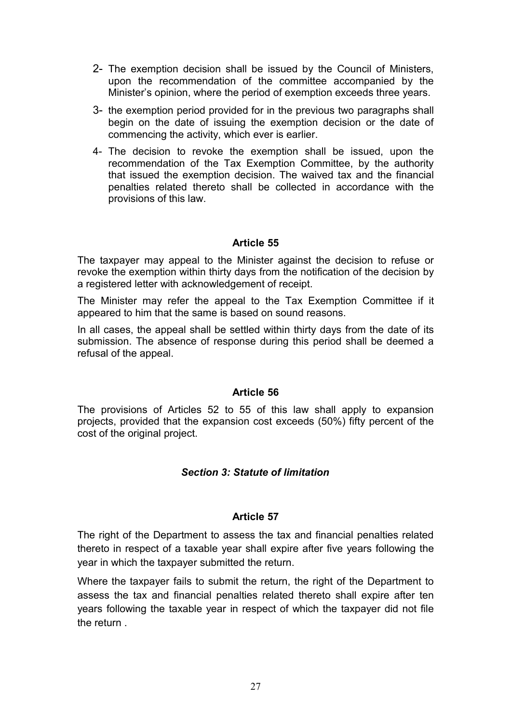- 2- The exemption decision shall be issued by the Council of Ministers, upon the recommendation of the committee accompanied by the Minister's opinion, where the period of exemption exceeds three years.
- 3- the exemption period provided for in the previous two paragraphs shall begin on the date of issuing the exemption decision or the date of commencing the activity, which ever is earlier.
- 4- The decision to revoke the exemption shall be issued, upon the recommendation of the Tax Exemption Committee, by the authority that issued the exemption decision. The waived tax and the financial penalties related thereto shall be collected in accordance with the provisions of this law.

The taxpayer may appeal to the Minister against the decision to refuse or revoke the exemption within thirty days from the notification of the decision by a registered letter with acknowledgement of receipt.

The Minister may refer the appeal to the Tax Exemption Committee if it appeared to him that the same is based on sound reasons.

In all cases, the appeal shall be settled within thirty days from the date of its submission. The absence of response during this period shall be deemed a refusal of the appeal.

### **Article 56**

The provisions of Articles 52 to 55 of this law shall apply to expansion projects, provided that the expansion cost exceeds (50%) fifty percent of the cost of the original project.

# *Section 3: Statute of limitation*

# **Article 57**

The right of the Department to assess the tax and financial penalties related thereto in respect of a taxable year shall expire after five years following the year in which the taxpayer submitted the return.

Where the taxpayer fails to submit the return, the right of the Department to assess the tax and financial penalties related thereto shall expire after ten years following the taxable year in respect of which the taxpayer did not file the return .